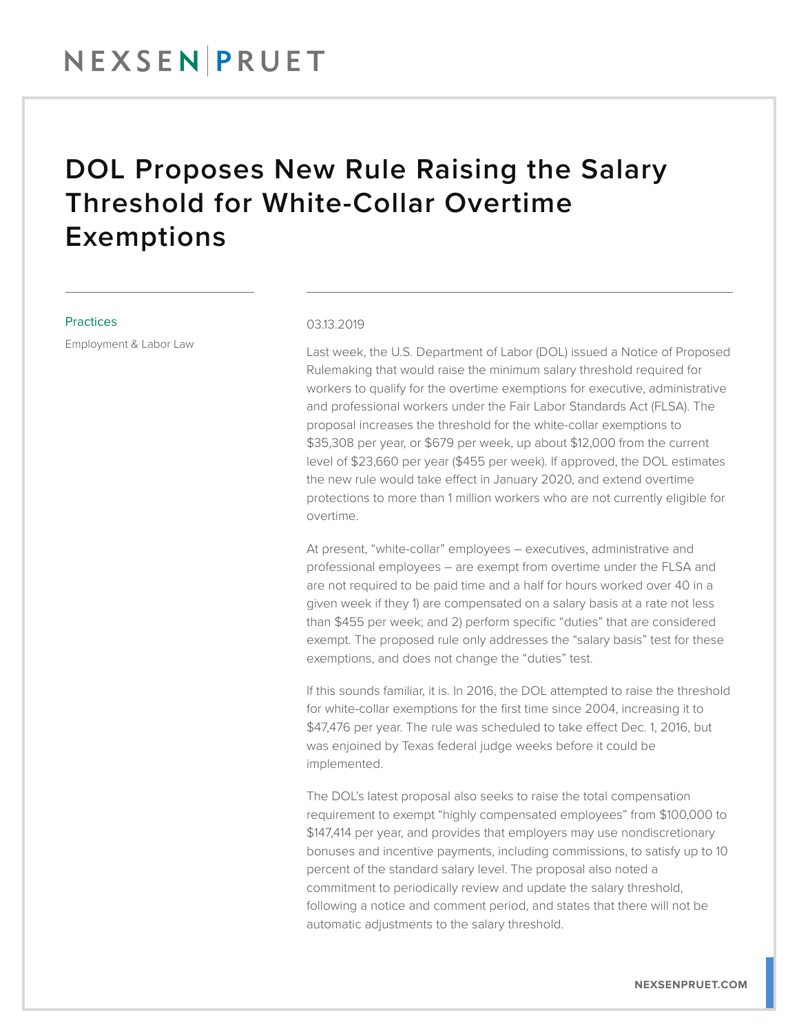## NEXSENPRUET

## DOL Proposes New Rule Raising the Salary Threshold for White-Collar Overtime Exemptions

### **Practices**

Employment & Labor Law

#### 03.13.2019

Last week, the U.S. Department of Labor (DOL) issued a Notice of Proposed Rulemaking that would raise the minimum salary threshold required for workers to qualify for the overtime exemptions for executive, administrative and professional workers under the Fair Labor Standards Act (FLSA). The proposal increases the threshold for the white-collar exemptions to \$35,308 per year, or \$679 per week, up about \$12,000 from the current level of \$23,660 per year (\$455 per week). If approved, the DOL estimates the new rule would take effect in January 2020, and extend overtime protections to more than 1 million workers who are not currently eligible for overtime.

At present, "white-collar" employees – executives, administrative and professional employees – are exempt from overtime under the FLSA and are not required to be paid time and a half for hours worked over 40 in a given week if they 1) are compensated on a salary basis at a rate not less than \$455 per week; and 2) perform specific "duties" that are considered exempt. The proposed rule only addresses the "salary basis" test for these exemptions, and does not change the "duties" test.

If this sounds familiar, it is. In 2016, the DOL attempted to raise the threshold for white-collar exemptions for the first time since 2004, increasing it to \$47,476 per year. The rule was scheduled to take effect Dec. 1, 2016, but was enjoined by Texas federal judge weeks before it could be implemented.

The DOL's latest proposal also seeks to raise the total compensation requirement to exempt "highly compensated employees" from \$100,000 to \$147,414 per year, and provides that employers may use nondiscretionary bonuses and incentive payments, including commissions, to satisfy up to 10 percent of the standard salary level. The proposal also noted a commitment to periodically review and update the salary threshold, following a notice and comment period, and states that there will not be automatic adjustments to the salary threshold.